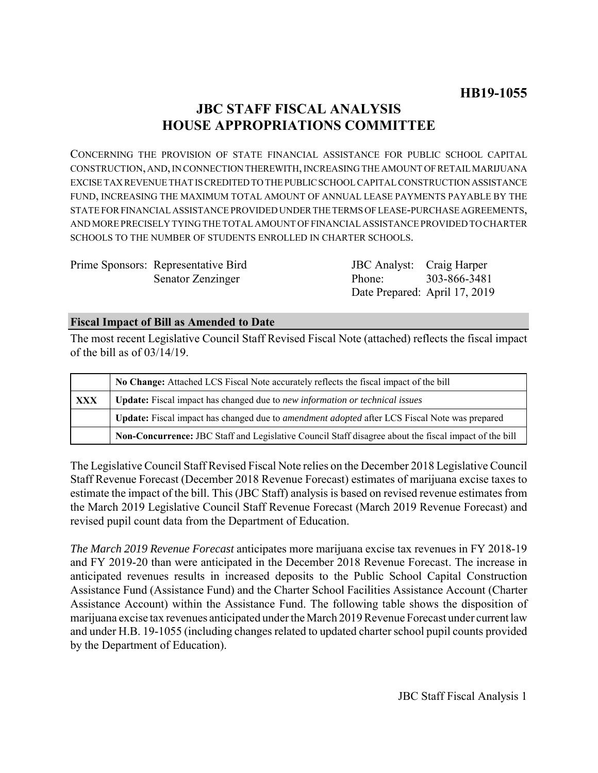# **JBC STAFF FISCAL ANALYSIS HOUSE APPROPRIATIONS COMMITTEE**

CONCERNING THE PROVISION OF STATE FINANCIAL ASSISTANCE FOR PUBLIC SCHOOL CAPITAL CONSTRUCTION, AND, IN CONNECTION THEREWITH, INCREASING THE AMOUNT OF RETAIL MARIJUANA EXCISE TAX REVENUE THAT IS CREDITED TO THE PUBLIC SCHOOL CAPITAL CONSTRUCTION ASSISTANCE FUND, INCREASING THE MAXIMUM TOTAL AMOUNT OF ANNUAL LEASE PAYMENTS PAYABLE BY THE STATE FOR FINANCIAL ASSISTANCE PROVIDED UNDER THE TERMS OF LEASE-PURCHASE AGREEMENTS, AND MORE PRECISELY TYING THE TOTAL AMOUNT OF FINANCIAL ASSISTANCE PROVIDED TO CHARTER SCHOOLS TO THE NUMBER OF STUDENTS ENROLLED IN CHARTER SCHOOLS.

Prime Sponsors: Representative Bird Senator Zenzinger

JBC Analyst: Craig Harper Phone: Date Prepared: April 17, 2019 303-866-3481

## **Fiscal Impact of Bill as Amended to Date**

The most recent Legislative Council Staff Revised Fiscal Note (attached) reflects the fiscal impact of the bill as of 03/14/19.

|     | No Change: Attached LCS Fiscal Note accurately reflects the fiscal impact of the bill                       |  |  |
|-----|-------------------------------------------------------------------------------------------------------------|--|--|
| XXX | <b>Update:</b> Fiscal impact has changed due to new information or technical issues                         |  |  |
|     | <b>Update:</b> Fiscal impact has changed due to <i>amendment adopted</i> after LCS Fiscal Note was prepared |  |  |
|     | Non-Concurrence: JBC Staff and Legislative Council Staff disagree about the fiscal impact of the bill       |  |  |

The Legislative Council Staff Revised Fiscal Note relies on the December 2018 Legislative Council Staff Revenue Forecast (December 2018 Revenue Forecast) estimates of marijuana excise taxes to estimate the impact of the bill. This (JBC Staff) analysis is based on revised revenue estimates from the March 2019 Legislative Council Staff Revenue Forecast (March 2019 Revenue Forecast) and revised pupil count data from the Department of Education.

*The March 2019 Revenue Forecast* anticipates more marijuana excise tax revenues in FY 2018-19 and FY 2019-20 than were anticipated in the December 2018 Revenue Forecast. The increase in anticipated revenues results in increased deposits to the Public School Capital Construction Assistance Fund (Assistance Fund) and the Charter School Facilities Assistance Account (Charter Assistance Account) within the Assistance Fund. The following table shows the disposition of marijuana excise tax revenues anticipated under the March 2019 Revenue Forecast under current law and under H.B. 19-1055 (including changes related to updated charter school pupil counts provided by the Department of Education).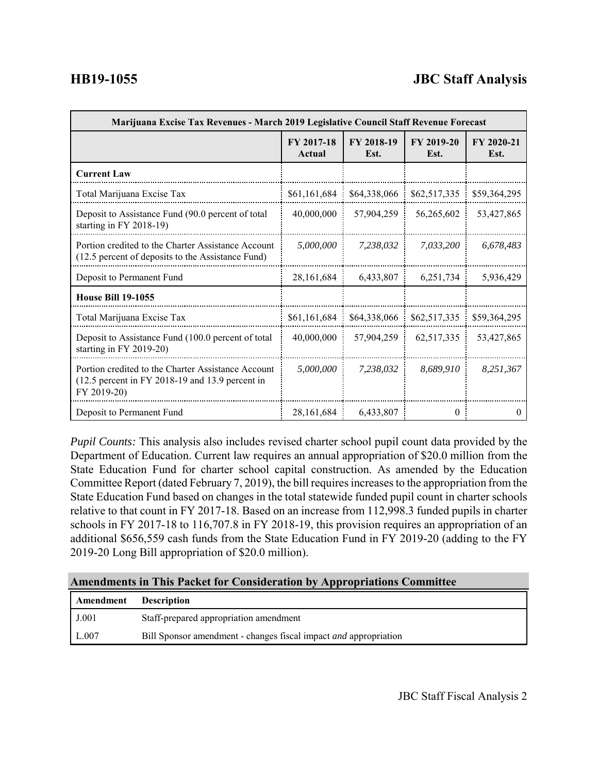# **HB19-1055 JBC Staff Analysis**

| Marijuana Excise Tax Revenues - March 2019 Legislative Council Staff Revenue Forecast                                  |                      |                    |                    |                    |  |
|------------------------------------------------------------------------------------------------------------------------|----------------------|--------------------|--------------------|--------------------|--|
|                                                                                                                        | FY 2017-18<br>Actual | FY 2018-19<br>Est. | FY 2019-20<br>Est. | FY 2020-21<br>Est. |  |
| <b>Current Law</b>                                                                                                     |                      |                    |                    |                    |  |
| Total Marijuana Excise Tax                                                                                             | \$61,161,684         | \$64,338,066       | \$62,517,335       | \$59,364,295       |  |
| Deposit to Assistance Fund (90.0 percent of total<br>starting in FY 2018-19)                                           | 40,000,000           | 57,904,259         | 56,265,602         | 53,427,865         |  |
| Portion credited to the Charter Assistance Account<br>(12.5 percent of deposits to the Assistance Fund)                | 5,000,000            | 7.238.032          | 7.033.200          | 6,678,483          |  |
| Deposit to Permanent Fund                                                                                              | 28,161,684           | 6,433,807          | 6,251,734          | 5,936,429          |  |
| <b>House Bill 19-1055</b>                                                                                              |                      |                    |                    |                    |  |
| Total Marijuana Excise Tax                                                                                             | \$61,161,684         | \$64,338,066       | \$62,517,335       | \$59,364,295       |  |
| Deposit to Assistance Fund (100.0 percent of total<br>starting in FY 2019-20)                                          | 40,000,000           | 57,904,259         | 62,517,335         | 53,427,865         |  |
| Portion credited to the Charter Assistance Account<br>$(12.5$ percent in FY 2018-19 and 13.9 percent in<br>FY 2019-20) | 5,000,000            | 7,238,032          | 8.689.910          | 8,251,367          |  |
| Deposit to Permanent Fund                                                                                              | 28, 161, 684         | 6,433,807          | $\theta$           | $\theta$           |  |

*Pupil Counts:* This analysis also includes revised charter school pupil count data provided by the Department of Education. Current law requires an annual appropriation of \$20.0 million from the State Education Fund for charter school capital construction. As amended by the Education Committee Report (dated February 7, 2019), the bill requires increases to the appropriation from the State Education Fund based on changes in the total statewide funded pupil count in charter schools relative to that count in FY 2017-18. Based on an increase from 112,998.3 funded pupils in charter schools in FY 2017-18 to 116,707.8 in FY 2018-19, this provision requires an appropriation of an additional \$656,559 cash funds from the State Education Fund in FY 2019-20 (adding to the FY 2019-20 Long Bill appropriation of \$20.0 million).

### **Amendments in This Packet for Consideration by Appropriations Committee**

| Amendment | <b>Description</b>                                                      |
|-----------|-------------------------------------------------------------------------|
| J.001     | Staff-prepared appropriation amendment                                  |
| L.007     | Bill Sponsor amendment - changes fiscal impact <i>and</i> appropriation |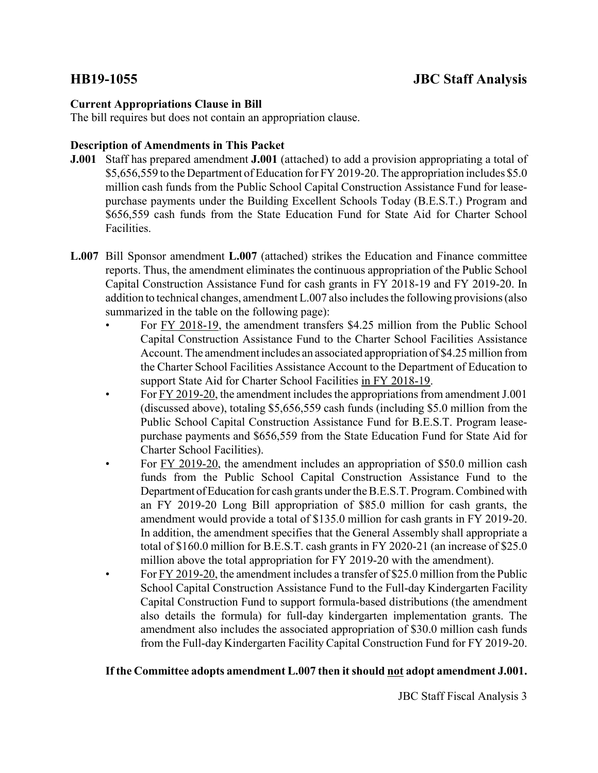# **Current Appropriations Clause in Bill**

The bill requires but does not contain an appropriation clause.

## **Description of Amendments in This Packet**

- **J.001** Staff has prepared amendment **J.001** (attached) to add a provision appropriating a total of \$5,656,559 to the Department of Education for FY 2019-20. The appropriation includes \$5.0 million cash funds from the Public School Capital Construction Assistance Fund for leasepurchase payments under the Building Excellent Schools Today (B.E.S.T.) Program and \$656,559 cash funds from the State Education Fund for State Aid for Charter School Facilities.
- **L.007** Bill Sponsor amendment **L.007** (attached) strikes the Education and Finance committee reports. Thus, the amendment eliminates the continuous appropriation of the Public School Capital Construction Assistance Fund for cash grants in FY 2018-19 and FY 2019-20. In addition to technical changes, amendment L.007 also includes the following provisions (also summarized in the table on the following page):
	- For FY 2018-19, the amendment transfers \$4.25 million from the Public School Capital Construction Assistance Fund to the Charter School Facilities Assistance Account. The amendment includes an associated appropriation of \$4.25 million from the Charter School Facilities Assistance Account to the Department of Education to support State Aid for Charter School Facilities in FY 2018-19.
	- For FY 2019-20, the amendment includes the appropriations from amendment J.001 (discussed above), totaling \$5,656,559 cash funds (including \$5.0 million from the Public School Capital Construction Assistance Fund for B.E.S.T. Program leasepurchase payments and \$656,559 from the State Education Fund for State Aid for Charter School Facilities).
	- For FY 2019-20, the amendment includes an appropriation of \$50.0 million cash funds from the Public School Capital Construction Assistance Fund to the Department of Education for cash grants under the B.E.S.T. Program. Combined with an FY 2019-20 Long Bill appropriation of \$85.0 million for cash grants, the amendment would provide a total of \$135.0 million for cash grants in FY 2019-20. In addition, the amendment specifies that the General Assembly shall appropriate a total of \$160.0 million for B.E.S.T. cash grants in FY 2020-21 (an increase of \$25.0 million above the total appropriation for FY 2019-20 with the amendment).
	- For FY 2019-20, the amendment includes a transfer of \$25.0 million from the Public School Capital Construction Assistance Fund to the Full-day Kindergarten Facility Capital Construction Fund to support formula-based distributions (the amendment also details the formula) for full-day kindergarten implementation grants. The amendment also includes the associated appropriation of \$30.0 million cash funds from the Full-day Kindergarten Facility Capital Construction Fund for FY 2019-20.

# **If the Committee adopts amendment L.007 then it should not adopt amendment J.001.**

JBC Staff Fiscal Analysis 3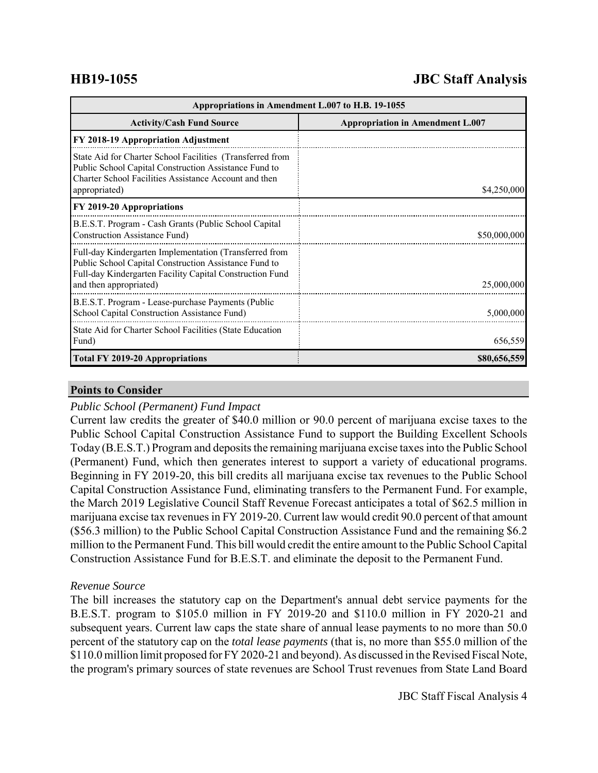# **HB19-1055 JBC Staff Analysis**

| Appropriations in Amendment L.007 to H.B. 19-1055                                                                                                                                                     |                                         |  |  |  |
|-------------------------------------------------------------------------------------------------------------------------------------------------------------------------------------------------------|-----------------------------------------|--|--|--|
| <b>Activity/Cash Fund Source</b>                                                                                                                                                                      | <b>Appropriation in Amendment L.007</b> |  |  |  |
| FY 2018-19 Appropriation Adjustment                                                                                                                                                                   |                                         |  |  |  |
| State Aid for Charter School Facilities (Transferred from<br>Public School Capital Construction Assistance Fund to<br>Charter School Facilities Assistance Account and then<br>appropriated)          | \$4,250,000                             |  |  |  |
| FY 2019-20 Appropriations                                                                                                                                                                             |                                         |  |  |  |
| B.E.S.T. Program - Cash Grants (Public School Capital<br>Construction Assistance Fund)                                                                                                                | \$50,000,000                            |  |  |  |
| Full-day Kindergarten Implementation (Transferred from<br>Public School Capital Construction Assistance Fund to<br>Full-day Kindergarten Facility Capital Construction Fund<br>and then appropriated) | 25,000,000                              |  |  |  |
| B.E.S.T. Program - Lease-purchase Payments (Public<br>School Capital Construction Assistance Fund)                                                                                                    | 5,000,000                               |  |  |  |
| State Aid for Charter School Facilities (State Education<br>Fund)                                                                                                                                     | 656,559                                 |  |  |  |
| <b>Total FY 2019-20 Appropriations</b>                                                                                                                                                                | \$80,656,559                            |  |  |  |

## **Points to Consider**

### *Public School (Permanent) Fund Impact*

Current law credits the greater of \$40.0 million or 90.0 percent of marijuana excise taxes to the Public School Capital Construction Assistance Fund to support the Building Excellent Schools Today (B.E.S.T.) Program and deposits the remaining marijuana excise taxes into the Public School (Permanent) Fund, which then generates interest to support a variety of educational programs. Beginning in FY 2019-20, this bill credits all marijuana excise tax revenues to the Public School Capital Construction Assistance Fund, eliminating transfers to the Permanent Fund. For example, the March 2019 Legislative Council Staff Revenue Forecast anticipates a total of \$62.5 million in marijuana excise tax revenues in FY 2019-20. Current law would credit 90.0 percent of that amount (\$56.3 million) to the Public School Capital Construction Assistance Fund and the remaining \$6.2 million to the Permanent Fund. This bill would credit the entire amount to the Public School Capital Construction Assistance Fund for B.E.S.T. and eliminate the deposit to the Permanent Fund.

# *Revenue Source*

The bill increases the statutory cap on the Department's annual debt service payments for the B.E.S.T. program to \$105.0 million in FY 2019-20 and \$110.0 million in FY 2020-21 and subsequent years. Current law caps the state share of annual lease payments to no more than 50.0 percent of the statutory cap on the *total lease payments* (that is, no more than \$55.0 million of the \$110.0 million limit proposed for FY 2020-21 and beyond). As discussed in the Revised Fiscal Note, the program's primary sources of state revenues are School Trust revenues from State Land Board